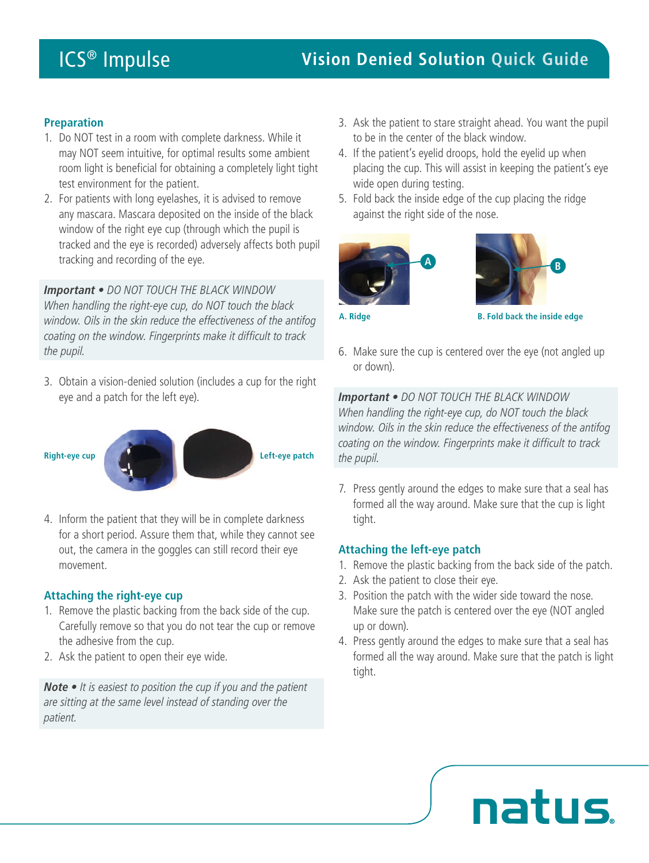## **Preparation**

- 1. Do NOT test in a room with complete darkness. While it may NOT seem intuitive, for optimal results some ambient room light is beneficial for obtaining a completely light tight test environment for the patient.
- 2. For patients with long eyelashes, it is advised to remove any mascara. Mascara deposited on the inside of the black window of the right eye cup (through which the pupil is tracked and the eye is recorded) adversely affects both pupil tracking and recording of the eye.

*Important • DO NOT TOUCH THE BLACK WINDOW When handling the right-eye cup, do NOT touch the black window. Oils in the skin reduce the effectiveness of the antifog coating on the window. Fingerprints make it difficult to track the pupil.*

3. Obtain a vision-denied solution (includes a cup for the right eye and a patch for the left eye).



4. Inform the patient that they will be in complete darkness for a short period. Assure them that, while they cannot see out, the camera in the goggles can still record their eye movement.

### **Attaching the right-eye cup**

- 1. Remove the plastic backing from the back side of the cup. Carefully remove so that you do not tear the cup or remove the adhesive from the cup.
- 2. Ask the patient to open their eye wide.

*Note • It is easiest to position the cup if you and the patient are sitting at the same level instead of standing over the patient.*

- 3. Ask the patient to stare straight ahead. You want the pupil to be in the center of the black window.
- 4. If the patient's eyelid droops, hold the eyelid up when placing the cup. This will assist in keeping the patient's eye wide open during testing.
- 5. Fold back the inside edge of the cup placing the ridge against the right side of the nose.





**A. Ridge B. Fold back the inside edge**

6. Make sure the cup is centered over the eye (not angled up or down).

*Important • DO NOT TOUCH THE BLACK WINDOW When handling the right-eye cup, do NOT touch the black window. Oils in the skin reduce the effectiveness of the antifog coating on the window. Fingerprints make it difficult to track the pupil.*

7. Press gently around the edges to make sure that a seal has formed all the way around. Make sure that the cup is light tight.

## **Attaching the left-eye patch**

- 1. Remove the plastic backing from the back side of the patch.
- 2. Ask the patient to close their eye.
- 3. Position the patch with the wider side toward the nose. Make sure the patch is centered over the eye (NOT angled up or down).
- 4. Press gently around the edges to make sure that a seal has formed all the way around. Make sure that the patch is light tight.

natus